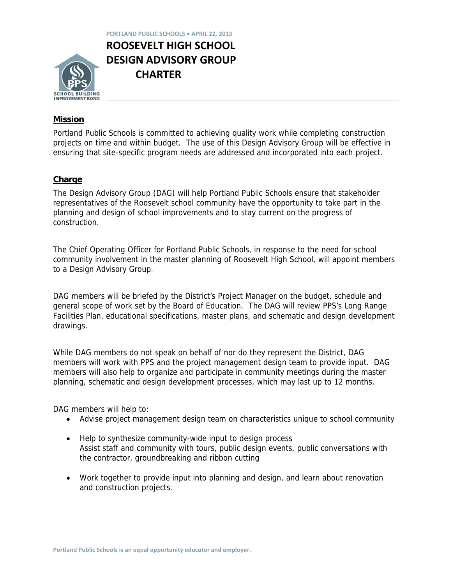

**PORTLAND PUBLIC SCHOOLS • APRIL 22, 2013 ROOSEVELT HIGH SCHOOL DESIGN ADVISORY GROUP CHARTER** 

# **Mission**

Portland Public Schools is committed to achieving quality work while completing construction projects on time and within budget. The use of this Design Advisory Group will be effective in ensuring that site-specific program needs are addressed and incorporated into each project.

### **Charge**

The Design Advisory Group (DAG) will help Portland Public Schools ensure that stakeholder representatives of the Roosevelt school community have the opportunity to take part in the planning and design of school improvements and to stay current on the progress of construction.

The Chief Operating Officer for Portland Public Schools, in response to the need for school community involvement in the master planning of Roosevelt High School, will appoint members to a Design Advisory Group.

DAG members will be briefed by the District's Project Manager on the budget, schedule and general scope of work set by the Board of Education. The DAG will review PPS's Long Range Facilities Plan, educational specifications, master plans, and schematic and design development drawings.

While DAG members do not speak on behalf of nor do they represent the District, DAG members will work with PPS and the project management design team to provide input. DAG members will also help to organize and participate in community meetings during the master planning, schematic and design development processes, which may last up to 12 months.

DAG members will help to:

- Advise project management design team on characteristics unique to school community
- Help to synthesize community-wide input to design process Assist staff and community with tours, public design events, public conversations with the contractor, groundbreaking and ribbon cutting
- Work together to provide input into planning and design, and learn about renovation and construction projects.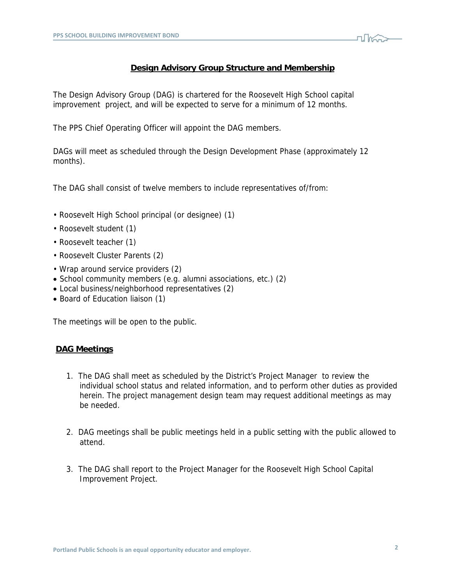

#### **Design Advisory Group Structure and Membership**

The Design Advisory Group (DAG) is chartered for the Roosevelt High School capital improvement project, and will be expected to serve for a minimum of 12 months.

The PPS Chief Operating Officer will appoint the DAG members.

DAGs will meet as scheduled through the Design Development Phase (approximately 12 months).

The DAG shall consist of twelve members to include representatives of/from:

- Roosevelt High School principal (or designee) (1)
- Roosevelt student (1)
- Roosevelt teacher (1)
- Roosevelt Cluster Parents (2)
- Wrap around service providers (2)
- School community members (e.g. alumni associations, etc.) (2)
- Local business/neighborhood representatives (2)
- Board of Education liaison (1)

The meetings will be open to the public.

### **DAG Meetings**

- 1. The DAG shall meet as scheduled by the District's Project Manager to review the individual school status and related information, and to perform other duties as provided herein. The project management design team may request additional meetings as may be needed.
- 2. DAG meetings shall be public meetings held in a public setting with the public allowed to attend.
- 3. The DAG shall report to the Project Manager for the Roosevelt High School Capital Improvement Project.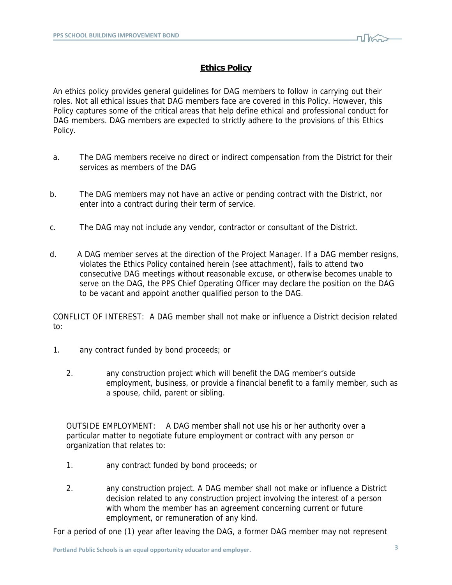

## **Ethics Policy**

An ethics policy provides general guidelines for DAG members to follow in carrying out their roles. Not all ethical issues that DAG members face are covered in this Policy. However, this Policy captures some of the critical areas that help define ethical and professional conduct for DAG members. DAG members are expected to strictly adhere to the provisions of this Ethics Policy.

- a. The DAG members receive no direct or indirect compensation from the District for their services as members of the DAG
- b. The DAG members may not have an active or pending contract with the District, nor enter into a contract during their term of service.
- c. The DAG may not include any vendor, contractor or consultant of the District.
- d. A DAG member serves at the direction of the Project Manager. If a DAG member resigns, violates the Ethics Policy contained herein (see attachment), fails to attend two consecutive DAG meetings without reasonable excuse, or otherwise becomes unable to serve on the DAG, the PPS Chief Operating Officer may declare the position on the DAG to be vacant and appoint another qualified person to the DAG.

CONFLICT OF INTEREST: A DAG member shall not make or influence a District decision related to:

- 1. any contract funded by bond proceeds; or
	- 2. any construction project which will benefit the DAG member's outside employment, business, or provide a financial benefit to a family member, such as a spouse, child, parent or sibling.

OUTSIDE EMPLOYMENT: A DAG member shall not use his or her authority over a particular matter to negotiate future employment or contract with any person or organization that relates to:

- 1. any contract funded by bond proceeds; or
- 2. any construction project. A DAG member shall not make or influence a District decision related to any construction project involving the interest of a person with whom the member has an agreement concerning current or future employment, or remuneration of any kind.

For a period of one (1) year after leaving the DAG, a former DAG member may not represent